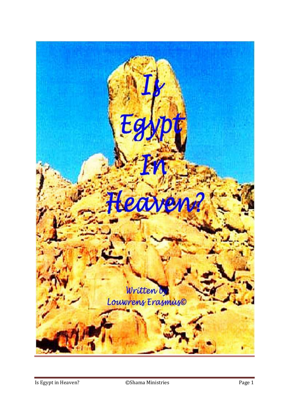<span id="page-0-0"></span>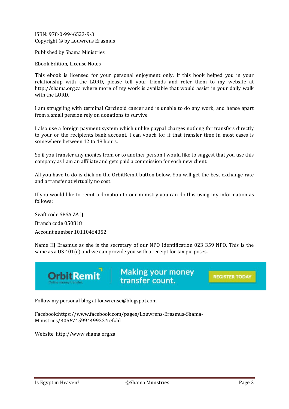#### ISBN: 978-0-9946523-9-3 Copyright © by Louwrens Erasmus

Published by Shama Ministries

Ebook Edition, License Notes

This ebook is licensed for your personal enjoyment only. If this book helped you in your relationship with the LORD, please tell your friends and refer them to my website at http://shama.org.za where more of my work is available that would assist in your daily walk with the LORD.

I am struggling with terminal Carcinoid cancer and is unable to do any work, and hence apart from a small pension rely on donations to survive.

I also use a foreign payment system which unlike paypal charges nothing for transfers directly to your or the recipients bank account. I can vouch for it that transfer time in most cases is somewhere between 12 to 48 hours.

So if you transfer any monies from or to another person I would like to suggest that you use this company as I am an affiliate and gets paid a commission for each new client.

All you have to do is click on the OrbitRemit button below. You will get the best exchange rate and a transfer at virtually no cost.

If you would like to remit a donation to our ministry you can do this using my information as follows:

Swift code SBSA ZA JJ Branch code 050818 Account number 10110464352

Name HJ Erasmus as she is the secretary of our NPO Identification 023 359 NPO. This is the same as a US 401(c) and we can provide you with a receipt for tax purposes.



Follow my personal blog at louwrense@blogspot.com

Facebook:https://www.facebook.com/pages/Louwrens-Erasmus-Shama-Ministries/305674599449922?ref=hl

Website http://www.shama.org.za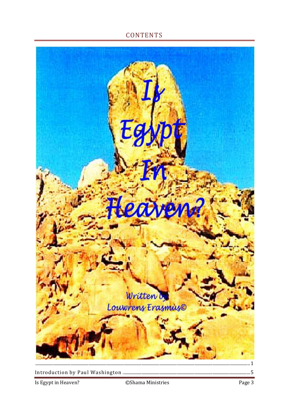# **CONTENTS**

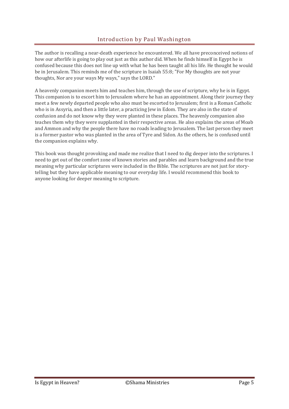<span id="page-4-0"></span>The author is recalling a near-death experience he encountered. We all have preconceived notions of how our afterlife is going to play out just as this author did. When he finds himself in Egypt he is confused because this does not line up with what he has been taught all his life. He thought he would be in Jerusalem. This reminds me of the scripture in Isaiah 55:8; "For My thoughts are not your thoughts, Nor are your ways My ways," says the LORD."

A heavenly companion meets him and teaches him, through the use of scripture, why he is in Egypt. This companion is to escort him to Jerusalem where he has an appointment. Along their journey they meet a few newly departed people who also must be escorted to Jerusalem; first is a Roman Catholic who is in Assyria, and then a little later, a practicing Jew in Edom. They are also in the state of confusion and do not know why they were planted in these places. The heavenly companion also teaches them why they were supplanted in their respective areas. He also explains the areas of Moab and Ammon and why the people there have no roads leading to Jerusalem. The last person they meet is a former pastor who was planted in the area of Tyre and Sidon. As the others, he is confused until the companion explains why.

This book was thought provoking and made me realize that I need to dig deeper into the scriptures. I need to get out of the comfort zone of known stories and parables and learn background and the true meaning why particular scriptures were included in the Bible. The scriptures are not just for storytelling but they have applicable meaning to our everyday life. I would recommend this book to anyone looking for deeper meaning to scripture.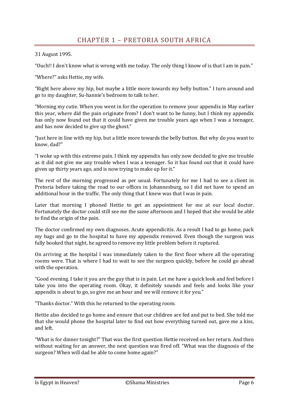#### <span id="page-5-0"></span>31 August 1995.

"Ouch!! I don't know what is wrong with me today. The only thing I know of is that I am in pain."

"Where?" asks Hettie, my wife.

"Right here above my hip, but maybe a little more towards my belly button." I turn around and go to my daughter, Su-hannie's bedroom to talk to her.

"Morning my cutie. When you went in for the operation to remove your appendix in May earlier this year, where did the pain originate from? I don't want to be funny, but I think my appendix has only now found out that it could have given me trouble years ago when I was a teenager, and has now decided to give up the ghost."

"Just here in line with my hip, but a little more towards the belly button. But why do you want to know, dad?"

"I woke up with this extreme pain. I think my appendix has only now decided to give me trouble as it did not give me any trouble when I was a teenager. So it has found out that it could have given up thirty years ago, and is now trying to make up for it."

The rest of the morning progressed as per usual. Fortunately for me I had to see a client in Pretoria before taking the road to our offices in Johannesburg, so I did not have to spend an additional hour in the traffic. The only thing that I knew was that I was in pain.

Later that morning I phoned Hettie to get an appointment for me at our local doctor. Fortunately the doctor could still see me the same afternoon and I hoped that she would be able to find the origin of the pain.

The doctor confirmed my own diagnoses. Acute appendicitis. As a result I had to go home, pack my bags and go to the hospital to have my appendix removed. Even though the surgeon was fully booked that night, he agreed to remove my little problem before it ruptured.

On arriving at the hospital I was immediately taken to the first floor where all the operating rooms were. That is where I had to wait to see the surgeon quickly, before he could go ahead with the operation.

"Good evening. I take it you are the guy that is in pain. Let me have a quick look and feel before I take you into the operating room. Okay, it definitely sounds and feels and looks like your appendix is about to go, so give me an hour and we will remove it for you."

"Thanks doctor." With this he returned to the operating room.

Hettie also decided to go home and ensure that our children are fed and put to bed. She told me that she would phone the hospital later to find out how everything turned out, gave me a kiss, and left.

"What is for dinner tonight?" That was the first question Hettie received on her return. And then without waiting for an answer, the next question was fired off. "What was the diagnosis of the surgeon? When will dad be able to come home again?"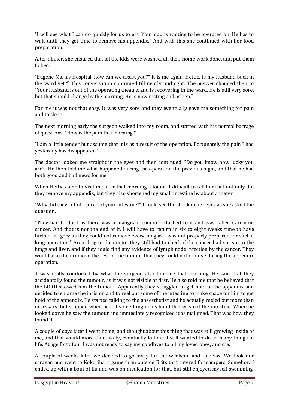"I will see what I can do quickly for us to eat. Your dad is waiting to be operated on. He has to wait until they get time to remove his appendix." And with this she continued with her food preparation.

After dinner, she ensured that all the kids were washed, all their home work done, and put them to bed.

"Eugene Marias Hospital, how can we assist you?" It is me again, Hettie. Is my husband back in the ward yet?" This conversation continued till nearly midnight. The answer changed then to "Your husband is out of the operating theatre, and is recovering in the ward. He is still very sore, but that should change by the morning. He is now resting and asleep."

For me it was not that easy. It was very sore and they eventually gave me something for pain and to sleep.

The next morning early the surgeon walked into my room, and started with his normal barrage of questions. "How is the pain this morning?"

"I am a little tender but assume that it is as a result of the operation. Fortunately the pain I had yesterday has disappeared."

The doctor looked me straight in the eyes and then continued. "Do you know how lucky you are?" He then told me what happened during the operation the previous night, and that he had both good and bad news for me.

When Hettie came to visit me later that morning, I found it difficult to tell her that not only did they remove my appendix, but they also shortened my small intestine by about a meter.

"Why did they cut of a piece of your intestine?" I could see the shock in her eyes as she asked the question.

"They had to do it as there was a malignant tumour attached to it and was called Carcinoid cancer. And that is not the end of it. I will have to return in six to eight weeks time to have further surgery as they could not remove everything as I was not properly prepared for such a long operation." According to the doctor they still had to check if the cancer had spread to the lungs and liver, and if they could find any evidence of lymph node infection by the cancer. They would also then remove the rest of the tumour that they could not remove during the appendix operation.

I was really comforted by what the surgeon also told me that morning. He said that they accidentally found the tumour, as it was not visible at first. He also told me that he believed that the LORD showed him the tumour. Apparently they struggled to get hold of the appendix and decided to enlarge the incision and to reel out some of the intestine to make space for him to get hold of the appendix. He started talking to the anaesthetist and he actually reeled out more than necessary, but stopped when he felt something in his hand that was not the intestine. When he looked down he saw the tumour and immediately recognised it as maligned. That was how they found it.

A couple of days later I went home, and thought about this thing that was still growing inside of me, and that would more than likely, eventually kill me. I still wanted to do so many things in life. At age forty four I was not ready to say my goodbyes to all my loved ones, and die.

A couple of weeks later we decided to go away for the weekend and to relax. We took our caravan and went to Kokoriba, a game farm outside Brits that catered for campers. Somehow I ended up with a bout of flu and was on medication for that, but still enjoyed myself swimming,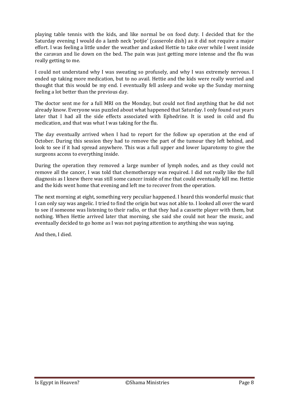playing table tennis with the kids, and like normal be on food duty. I decided that for the Saturday evening I would do a lamb neck 'potjie' (casserole dish) as it did not require a major effort. I was feeling a little under the weather and asked Hettie to take over while I went inside the caravan and lie down on the bed. The pain was just getting more intense and the flu was really getting to me.

I could not understand why I was sweating so profusely, and why I was extremely nervous. I ended up taking more medication, but to no avail. Hettie and the kids were really worried and thought that this would be my end. I eventually fell asleep and woke up the Sunday morning feeling a lot better than the previous day.

The doctor sent me for a full MRI on the Monday, but could not find anything that he did not already know. Everyone was puzzled about what happened that Saturday. I only found out years later that I had all the side effects associated with Ephedrine. It is used in cold and flu medication, and that was what I was taking for the flu.

The day eventually arrived when I had to report for the follow up operation at the end of October. During this session they had to remove the part of the tumour they left behind, and look to see if it had spread anywhere. This was a full upper and lower [laparotomy](https://www.google.co.za/search?hl=en&tbo=d&spell=1&q=laparotomy&sa=X&ei=i2z-UOSsDIiphAe154CICw&ved=0CDAQvwUoAA) to give the surgeons access to everything inside.

During the operation they removed a large number of lymph nodes, and as they could not remove all the cancer, I was told that chemotherapy was required. I did not really like the full diagnosis as I knew there was still some cancer inside of me that could eventually kill me. Hettie and the kids went home that evening and left me to recover from the operation.

The next morning at eight, something very peculiar happened. I heard this wonderful music that I can only say was angelic. I tried to find the origin but was not able to. I looked all over the ward to see if someone was listening to their radio, or that they had a cassette player with them, but nothing. When Hettie arrived later that morning, she said she could not hear the music, and eventually decided to go home as I was not paying attention to anything she was saying.

And then, I died.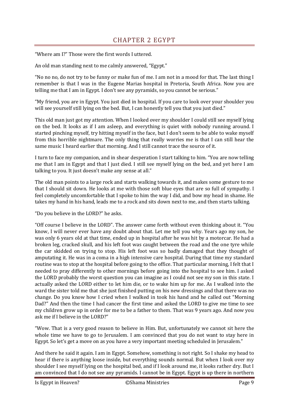<span id="page-8-0"></span>"Where am I?" Those were the first words I uttered.

An old man standing next to me calmly answered, "Egypt."

"No no no, do not try to be funny or make fun of me. I am not in a mood for that. The last thing I remember is that I was in the Eugene Marias hospital in Pretoria, South Africa. Now you are telling me that I am in Egypt. I don't see any pyramids, so you cannot be serious."

"My friend, you are in Egypt. You just died in hospital. If you care to look over your shoulder you will see yourself still lying on the bed. But, I can honestly tell you that you just died."

This old man just got my attention. When I looked over my shoulder I could still see myself lying on the bed. It looks as if I am asleep, and everything is quiet with nobody running around. I started pinching myself, try hitting myself in the face, but I don't seem to be able to wake myself from this horrible nightmare. The only thing that really worries me is that I can still hear the same music I heard earlier that morning. And I still cannot trace the source of it.

I turn to face my companion, and in shear desperation I start talking to him. "You are now telling me that I am in Egypt and that I just died. I still see myself lying on the bed, and yet here I am talking to you. It just doesn't make any sense at all."

The old man points to a large rock and starts walking towards it, and makes some gesture to me that I should sit down. He looks at me with those soft blue eyes that are so full of sympathy. I feel completely uncomfortable that I spoke to him the way I did, and bow my head in shame. He takes my hand in his hand, leads me to a rock and sits down next to me, and then starts talking.

"Do you believe in the LORD?" he asks.

"Off course I believe in the LORD". The answer came forth without even thinking about it. "You know, I will never ever have any doubt about that. Let me tell you why. Years ago my son, he was only 6 years old at that time, ended up in hospital after he was hit by a motorcar. He had a broken leg, cracked skull, and his left foot was caught between the road and the one tyre while the car skidded on trying to stop. His left foot was so badly damaged that they thought of amputating it. He was in a coma in a high intensive care hospital. During that time my standard routine was to stop at the hospital before going to the office. That particular morning, I felt that I needed to pray differently to other mornings before going into the hospital to see him. I asked the LORD probably the worst question you can imagine as I could not see my son in this state. I actually asked the LORD either to let him die, or to wake him up for me. As I walked into the ward the sister told me that she just finished putting on his new dressings and that there was no change. Do you know how I cried when I walked in took his hand and he called out "Morning Dad?" And then the time I had cancer the first time and asked the LORD to give me time to see my children grow up in order for me to be a father to them. That was 9 years ago. And now you ask me if I believe in the LORD?"

"Wow. That is a very good reason to believe in Him. But, unfortunately we cannot sit here the whole time we have to go to Jerusalem. I am convinced that you do not want to stay here in Egypt. So let's get a move on as you have a very important meeting scheduled in Jerusalem."

And there he said it again. I am in Egypt. Somehow, something is not right. So I shake my head to hear if there is anything loose inside, but everything sounds normal. But when I look over my shoulder I see myself lying on the hospital bed, and if I look around me, it looks rather dry. But I am convinced that I do not see any pyramids. I cannot be in Egypt. Egypt is up there in northern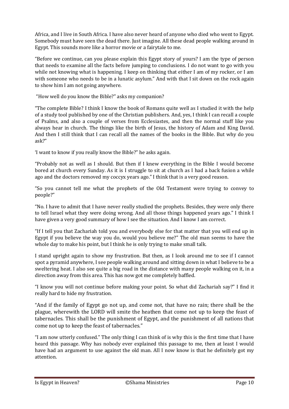Africa, and I live in South Africa. I have also never heard of anyone who died who went to Egypt. Somebody must have seen the dead there. Just imagine. All these dead people walking around in Egypt. This sounds more like a horror movie or a fairytale to me.

"Before we continue, can you please explain this Egypt story of yours? I am the type of person that needs to examine all the facts before jumping to conclusions. I do not want to go with you while not knowing what is happening. I keep on thinking that either I am of my rocker, or I am with someone who needs to be in a lunatic asylum." And with that I sit down on the rock again to show him I am not going anywhere.

"How well do you know the Bible?" asks my companion?

"The complete Bible? I think I know the book of Romans quite well as I studied it with the help of a study tool published by one of the Christian publishers. And, yes, I think I can recall a couple of Psalms, and also a couple of verses from Ecclesiastes, and then the normal stuff like you always hear in church. The things like the birth of Jesus, the history of Adam and King David. And then I still think that I can recall all the names of the books in the Bible. But why do you ask?"

'I want to know if you really know the Bible?" he asks again.

"Probably not as well as I should. But then if I knew everything in the Bible I would become bored at church every Sunday. As it is I struggle to sit at church as I had a back fusion a while ago and the doctors removed my coccyx years ago." I think that is a very good reason.

"So you cannot tell me what the prophets of the Old Testament were trying to convey to people?"

"No. I have to admit that I have never really studied the prophets. Besides, they were only there to tell Israel what they were doing wrong. And all those things happened years ago." I think I have given a very good summary of how I see the situation. And I know I am correct.

"If I tell you that Zachariah told you and everybody else for that matter that you will end up in Egypt if you believe the way you do, would you believe me?" The old man seems to have the whole day to make his point, but I think he is only trying to make small talk.

I stand upright again to show my frustration. But then, as I look around me to see if I cannot spot a pyramid anywhere, I see people walking around and sitting down in what I believe to be a sweltering heat. I also see quite a big road in the distance with many people walking on it, in a direction away from this area. This has now got me completely baffled.

"I know you will not continue before making your point. So what did Zachariah say?" I find it really hard to hide my frustration.

"And if the family of Egypt go not up, and come not, that have no rain; there shall be the plague, wherewith the LORD will smite the heathen that come not up to keep the feast of tabernacles. This shall be the punishment of Egypt, and the punishment of all nations that come not up to keep the feast of tabernacles."

"I am now utterly confused." The only thing I can think of is why this is the first time that I have heard this passage. Why has nobody ever explained this passage to me, then at least I would have had an argument to use against the old man. All I now know is that he definitely got my attention.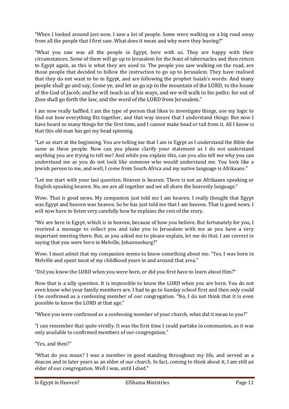"When I looked around just now, I saw a lot of people. Some were walking on a big road away from all the people that I first saw. What does it mean and why were they leaving?"

"What you saw was all the people in Egypt, here with us. They are happy with their circumstances. Some of them will go up to Jerusalem for the feast of tabernacles and then return to Egypt again, as this is what they are used to. The people you saw walking on the road, are those people that decided to follow the instruction to go up to Jerusalem. They have realised that they do not want to be in Egypt, and are following the prophet Isaiah's words: And many people shall go and say, Come ye, and let us go up to the mountain of the LORD, to the house of the God of Jacob; and he will teach us of his ways, and we will walk in his paths: for out of Zion shall go forth the law, and the word of the LORD from Jerusalem."

I am now really baffled. I am the type of person that likes to investigate things, use my logic to find out how everything fits together, and that way insure that I understand things. But now I have heard so many things for the first time, and I cannot make head or tail from it. All I know is that this old man has got my head spinning.

"Let us start at the beginning. You are telling me that I am in Egypt as I understand the Bible the same as these people. Now can you please clarify your statement as I do not understand anything you are trying to tell me? And while you explain this, can you also tell me why you can understand me as you do not look like someone who would understand me. You look like a Jewish person to me, and well, I come from South Africa and my native language is Afrikaans."

"Let me start with your last question. Heaven is heaven. There is not an Afrikaans speaking or English speaking heaven. No, we are all together and we all share the heavenly language."

Wow. That is good news. My companion just told me I am heaven. I really thought that Egypt was Egypt and heaven was heaven. So he has just told me that I am heaven. That is good news. I will now have to listen very carefully how he explains the rest of the story.

"We are here in Egypt, which is in heaven, because of how you believe. But fortunately for you, I received a message to collect you and take you to Jerusalem with me as you have a very important meeting there. But, as you asked me to please explain, let me do that. I am correct in saying that you were born in Melville, Johannesburg?"

Wow. I must admit that my companion seems to know something about me. "Yes, I was born in Melville and spent most of my childhood years in and around that area."

"Did you know the LORD when you were born, or did you first have to learn about Him?"

Now that is a silly question. It is impossible to know the LORD when you are born. You do not even know who your family members are. I had to go to Sunday school first and then only could I be confirmed as a confessing member of our congregation. "No, I do not think that it is even possible to know the LORD at that age."

"When you were confirmed as a confessing member of your church, what did it mean to you?"

"I can remember that quite vividly. It was the first time I could partake in communion, as it was only available to confirmed members of our congregation."

"Yes, and then?"

"What do you mean? I was a member in good standing throughout my life, and served as a deacon and in later years as an elder of our church. In fact, coming to think about it, I am still an elder of our congregation. Well I was, until I died."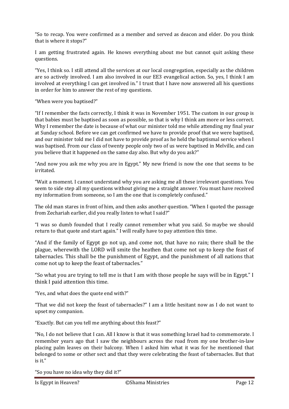"So to recap. You were confirmed as a member and served as deacon and elder. Do you think that is where it stops?"

I am getting frustrated again. He knows everything about me but cannot quit asking these questions.

"Yes, I think so. I still attend all the services at our local congregation, especially as the children are so actively involved. I am also involved in our EE3 evangelical action. So, yes, I think I am involved at everything I can get involved in." I trust that I have now answered all his questions in order for him to answer the rest of my questions.

"When were you baptised?"

"If I remember the facts correctly, I think it was in November 1951. The custom in our group is that babies must be baptised as soon as possible, so that is why I think am more or less correct. Why I remember the date is because of what our minister told me while attending my final year at Sunday school. Before we can get confirmed we have to provide proof that we were baptised, and our minister told me I did not have to provide proof as he held the baptismal service when I was baptised. From our class of twenty people only two of us were baptised in Melville, and can you believe that it happened on the same day also. But why do you ask?"

"And now you ask me why you are in Egypt." My new friend is now the one that seems to be irritated.

"Wait a moment. I cannot understand why you are asking me all these irrelevant questions. You seem to side step all my questions without giving me a straight answer. You must have received my information from someone, so I am the one that is completely confused."

The old man stares in front of him, and then asks another question. "When I quoted the passage from Zechariah earlier, did you really listen to what I said?"

"I was so dumb founded that I really cannot remember what you said. So maybe we should return to that quote and start again." I will really have to pay attention this time.

"And if the family of Egypt go not up, and come not, that have no rain; there shall be the plague, wherewith the LORD will smite the heathen that come not up to keep the feast of tabernacles. This shall be the punishment of Egypt, and the punishment of all nations that come not up to keep the feast of tabernacles."

"So what you are trying to tell me is that I am with those people he says will be in Egypt." I think I paid attention this time.

"Yes, and what does the quote end with?"

"That we did not keep the feast of tabernacles?" I am a little hesitant now as I do not want to upset my companion.

"Exactly. But can you tell me anything about this feast?"

"No, I do not believe that I can. All I know is that it was something Israel had to commemorate. I remember years ago that I saw the neighbours across the road from my one brother-in-law placing palm leaves on their balcony. When I asked him what it was for he mentioned that belonged to some or other sect and that they were celebrating the feast of tabernacles. But that is it."

"So you have no idea why they did it?"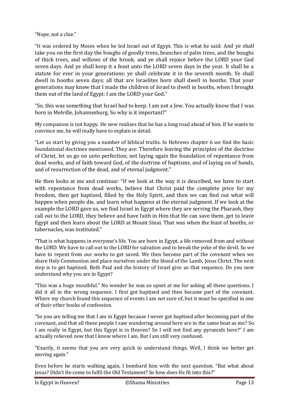"Nope, not a clue."

"It was ordered by Moses when he led Israel out of Egypt. This is what he said: And ye shall take you on the first day the boughs of goodly trees, branches of palm trees, and the boughs of thick trees, and willows of the brook; and ye shall rejoice before the LORD your God seven days. And ye shall keep it a feast unto the LORD seven days in the year. It shall be a statute for ever in your generations: ye shall celebrate it in the seventh month. Ye shall dwell in booths seven days; all that are Israelites born shall dwell in booths: That your generations may know that I made the children of Israel to dwell in booths, when I brought them out of the land of Egypt: I am the LORD your God."

"So, this was something that Israel had to keep. I am not a Jew. You actually know that I was born in Melville, Johannesburg. So why is it important?"

My companion is not happy. He now realises that he has a long road ahead of him. If he wants to convince me, he will really have to explain in detail.

"Let us start by giving you a number of biblical truths. In Hebrews chapter 6 we find the basic foundational doctrines mentioned. They are: Therefore leaving the principles of the doctrine of Christ, let us go on unto perfection; not laying again the foundation of repentance from dead works, and of faith toward God, of the doctrine of baptisms, and of laying on of hands, and of resurrection of the dead, and of eternal judgment."

He then looks at me and continue: "If we look at the way it is described, we have to start with repentance from dead works, believe that Christ paid the complete price for my freedom, then get baptised, filled by the Holy Spirit, and then we can find out what will happen when people die, and learn what happens at the eternal judgment. If we look at the example the LORD gave us, we find Israel in Egypt where they are serving the Pharaoh, they call out to the LORD, they believe and have faith in Him that He can save them, get to leave Egypt and then learn about the LORD at Mount Sinai. That was when the feast of booths, or tabernacles, was instituted."

"That is what happens in everyone's life. You are born in Egypt, a life removed from and without the LORD. We have to call out to the LORD for salvation and to break the yoke of the devil. So we have to repent from our works to get saved. We then become part of the covenant when we share Holy Communion and place ourselves under the blood of the Lamb, Jesus Christ. The next step is to get baptised. Both Paul and the history of Israel give us that sequence. Do you now understand why you are in Egypt?

"This was a huge mouthful." No wonder he was so upset at me for asking all these questions. I did it all in the wrong sequence. I first got baptised and then became part of the covenant. Where my church found this sequence of events I am not sure of, but it must be specified in one of their other books of confession.

"So you are telling me that I am in Egypt because I never got baptised after becoming part of the covenant, and that all these people I saw wandering around here are in the same boat as me? So I am really in Egypt, but this Egypt is in Heaven? So I will not find any pyramids here?" I am actually relieved now that I know where I am. But I am still very confused.

"Exactly, it seems that you are very quick to understand things. Well, I think we better get moving again."

Even before he starts walking again, I bombard him with the next question. "But what about Jesus? Didn't He come to fulfil the Old Testament? So how does He fit into this?"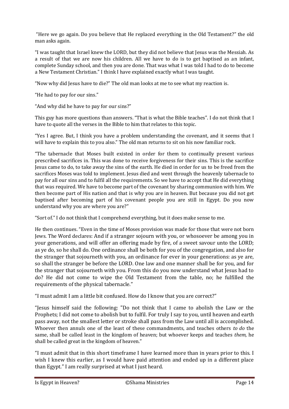"Here we go again. Do you believe that He replaced everything in the Old Testament?" the old man asks again.

"I was taught that Israel knew the LORD, but they did not believe that Jesus was the Messiah. As a result of that we are now his children. All we have to do is to get baptised as an infant, complete Sunday school, and then you are done. That was what I was told I had to do to become a New Testament Christian." I think I have explained exactly what I was taught.

"Now why did Jesus have to die?" The old man looks at me to see what my reaction is.

"He had to pay for our sins."

"And why did he have to pay for our sins?"

This guy has more questions than answers. "That is what the Bible teaches". I do not think that I have to quote all the verses in the Bible to him that relates to this topic.

"Yes I agree. But, I think you have a problem understanding the covenant, and it seems that I will have to explain this to you also." The old man returns to sit on his now familiar rock.

"The tabernacle that Moses built existed in order for them to continually present various prescribed sacrifices in. This was done to receive forgiveness for their sins. This is the sacrifice Jesus came to do, to take away the sins of the earth. He died in order for us to be freed from the sacrifices Moses was told to implement. Jesus died and went through the heavenly tabernacle to pay for all our sins and to fulfil all the requirements. So we have to accept that He did everything that was required. We have to become part of the covenant by sharing communion with him. We then become part of His nation and that is why you are in heaven. But because you did not get baptised after becoming part of his covenant people you are still in Egypt. Do you now understand why you are where you are?"

"Sort of." I do not think that I comprehend everything, but it does make sense to me.

He then continues. "Even in the time of Moses provision was made for those that were not born Jews. The Word declares: And if a stranger sojourn with you, or whosoever be among you in your generations, and will offer an offering made by fire, of a sweet savour unto the LORD; as ye do, so he shall do. One ordinance shall be both for you of the congregation, and also for the stranger that sojourneth with you, an ordinance for ever in your generations: as ye are, so shall the stranger be before the LORD. One law and one manner shall be for you, and for the stranger that sojourneth with you. From this do you now understand what Jesus had to do? He did not come to wipe the Old Testament from the table, no; he fulfilled the requirements of the physical tabernacle."

"I must admit I am a little bit confused. How do I know that you are correct?"

"Jesus himself said the following: "Do not think that I came to abolish the Law or the Prophets; I did not come to abolish but to fulfil. For truly I say to you, until heaven and earth pass away, not the smallest letter or stroke shall pass from the Law until all is accomplished. Whoever then annuls one of the least of these commandments, and teaches others *to do* the same, shall be called least in the kingdom of heaven; but whoever keeps and teaches *them,* he shall be called great in the kingdom of heaven."

"I must admit that in this short timeframe I have learned more than in years prior to this. I wish I knew this earlier, as I would have paid attention and ended up in a different place than Egypt." I am really surprised at what I just heard.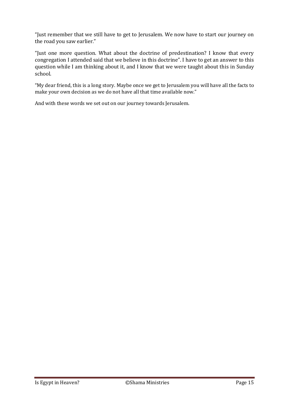"Just remember that we still have to get to Jerusalem. We now have to start our journey on the road you saw earlier."

"Just one more question. What about the doctrine of predestination? I know that every congregation I attended said that we believe in this doctrine". I have to get an answer to this question while I am thinking about it, and I know that we were taught about this in Sunday school.

"My dear friend, this is a long story. Maybe once we get to Jerusalem you will have all the facts to make your own decision as we do not have all that time available now."

And with these words we set out on our journey towards Jerusalem.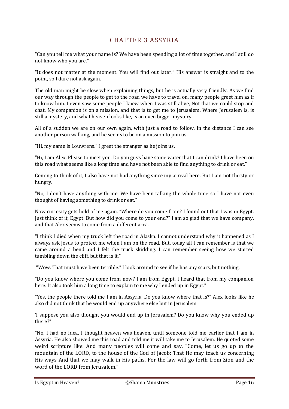<span id="page-15-0"></span>"Can you tell me what your name is? We have been spending a lot of time together, and I still do not know who you are."

"It does not matter at the moment. You will find out later." His answer is straight and to the point, so I dare not ask again.

The old man might be slow when explaining things, but he is actually very friendly. As we find our way through the people to get to the road we have to travel on, many people greet him as if to know him. I even saw some people I knew when I was still alive, Not that we could stop and chat. My companion is on a mission, and that is to get me to Jerusalem. Where Jerusalem is, is still a mystery, and what heaven looks like, is an even bigger mystery.

All of a sudden we are on our own again, with just a road to follow. In the distance I can see another person walking, and he seems to be on a mission to join us.

"Hi, my name is Louwrens." I greet the stranger as he joins us.

"Hi, I am Alex. Please to meet you. Do you guys have some water that I can drink? I have been on this road what seems like a long time and have not been able to find anything to drink or eat."

Coming to think of it, I also have not had anything since my arrival here. But I am not thirsty or hungry.

"No, I don't have anything with me. We have been talking the whole time so I have not even thought of having something to drink or eat."

Now curiosity gets hold of me again. "Where do you come from? I found out that I was in Egypt. Just think of it, Egypt. But how did you come to your end?" I am so glad that we have company, and that Alex seems to come from a different area.

"I think I died when my truck left the road in Alaska. I cannot understand why it happened as I always ask Jesus to protect me when I am on the road. But, today all I can remember is that we came around a bend and I felt the truck skidding. I can remember seeing how we started tumbling down the cliff, but that is it."

"Wow. That must have been terrible." I look around to see if he has any scars, but nothing.

"Do you know where you come from now? I am from Egypt. I heard that from my companion here. It also took him a long time to explain to me why I ended up in Egypt."

"Yes, the people there told me I am in Assyria. Do you know where that is?" Alex looks like he also did not think that he would end up anywhere else but in Jerusalem.

'I suppose you also thought you would end up in Jerusalem? Do you know why you ended up there?"

"No, I had no idea. I thought heaven was heaven, until someone told me earlier that I am in Assyria. He also showed me this road and told me it will take me to Jerusalem. He quoted some weird scripture like: And many peoples will come and say, "Come, let us go up to the mountain of the LORD, to the house of the God of Jacob; That He may teach us concerning His ways And that we may walk in His paths. For the law will go forth from Zion and the word of the LORD from Jerusalem."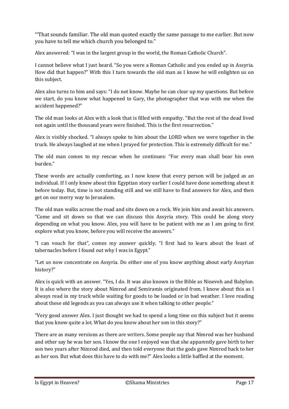"'That sounds familiar. The old man quoted exactly the same passage to me earlier. But now you have to tell me which church you belonged to."

Alex answered: "I was in the largest group in the world, the Roman Catholic Church".

I cannot believe what I just heard. "So you were a Roman Catholic and you ended up in Assyria. How did that happen?" With this I turn towards the old man as I know he will enlighten us on this subject.

Alex also turns to him and says: "I do not know. Maybe he can clear up my questions. But before we start, do you know what happened to Gary, the photographer that was with me when the accident happened?"

The old man looks at Alex with a look that is filled with empathy. "But the rest of the dead lived not again until the thousand years were finished. This is the first resurrection."

Alex is visibly shocked. "I always spoke to him about the LORD when we were together in the truck. He always laughed at me when I prayed for protection. This is extremely difficult for me."

The old man comes to my rescue when he continues: "For every man shall bear his own burden."

These words are actually comforting, as I now know that every person will be judged as an individual. If I only knew about this Egyptian story earlier I could have done something about it before today. But, time is not standing still and we still have to find answers for Alex, and then get on our merry way to Jerusalem.

The old man walks across the road and sits down on a rock. We join him and await his answers. "Come and sit down so that we can discuss this Assyria story. This could be along story depending on what you know. Alex, you will have to be patient with me as I am going to first explore what you know, before you will receive the answers."

"I can vouch for that", comes my answer quickly. "I first had to learn about the feast of tabernacles before I found out why I was in Egypt."

"Let us now concentrate on Assyria. Do either one of you know anything about early Assyrian history?"

Alex is quick with an answer. "Yes, I do. It was also known in the Bible as Nineveh and Babylon. It is also where the story about Nimrod and Semiramis originated from. I know about this as I always read in my truck while waiting for goods to be loaded or in bad weather. I love reading about these old legends as you can always use it when talking to other people."

"Very good answer Alex. I just thought we had to spend a long time on this subject but it seems that you know quite a lot. What do you know about her son in this story?"

There are as many versions as there are writers. Some people say that Nimrod was her husband and other say he was her son. I know the one I enjoyed was that she apparently gave birth to her son two years after Nimrod died, and then told everyone that the gods gave Nimrod back to her as her son. But what does this have to do with me?" Alex looks a little baffled at the moment.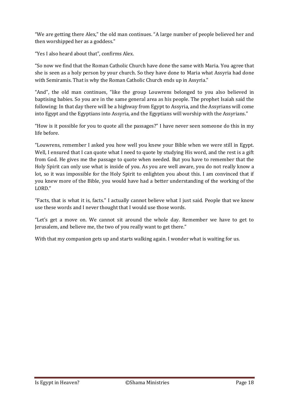"We are getting there Alex," the old man continues. "A large number of people believed her and then worshipped her as a goddess."

"Yes I also heard about that", confirms Alex.

"So now we find that the Roman Catholic Church have done the same with Maria. You agree that she is seen as a holy person by your church. So they have done to Maria what Assyria had done with Semiramis. That is why the Roman Catholic Church ends up in Assyria."

"And", the old man continues, "like the group Louwrens belonged to you also believed in baptising babies. So you are in the same general area as his people. The prophet Isaiah said the following: In that day there will be a highway from Egypt to Assyria, and the Assyrians will come into Egypt and the Egyptians into Assyria, and the Egyptians will worship with the Assyrians."

"How is it possible for you to quote all the passages?" I have never seen someone do this in my life before.

"Louwrens, remember I asked you how well you knew your Bible when we were still in Egypt. Well, I ensured that I can quote what I need to quote by studying His word, and the rest is a gift from God. He gives me the passage to quote when needed. But you have to remember that the Holy Spirit can only use what is inside of you. As you are well aware, you do not really know a lot, so it was impossible for the Holy Spirit to enlighten you about this. I am convinced that if you knew more of the Bible, you would have had a better understanding of the working of the LORD."

"Facts, that is what it is, facts." I actually cannot believe what I just said. People that we know use these words and I never thought that I would use those words.

"Let's get a move on. We cannot sit around the whole day. Remember we have to get to Jerusalem, and believe me, the two of you really want to get there."

With that my companion gets up and starts walking again. I wonder what is waiting for us.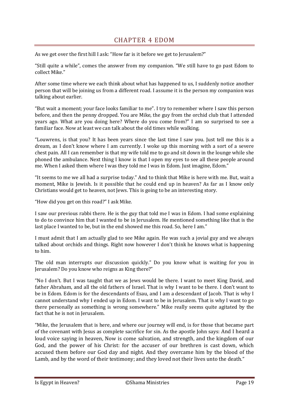### CHAPTER 4 EDOM

<span id="page-18-0"></span>As we get over the first hill I ask: "How far is it before we get to Jerusalem?"

"Still quite a while", comes the answer from my companion. "We still have to go past Edom to collect Mike."

After some time where we each think about what has happened to us, I suddenly notice another person that will be joining us from a different road. I assume it is the person my companion was talking about earlier.

"But wait a moment; your face looks familiar to me". I try to remember where I saw this person before, and then the penny dropped. You are Mike, the guy from the orchid club that I attended years ago. What are you doing here? Where do you come from?" I am so surprised to see a familiar face. Now at least we can talk about the old times while walking.

"Louwrens, is that you? It has been years since the last time I saw you. Just tell me this is a dream, as I don't know where I am currently. I woke up this morning with a sort of a severe chest pain. All I can remember is that my wife told me to go and sit down in the lounge while she phoned the ambulance. Next thing I know is that I open my eyes to see all these people around me. When I asked them where I was they told me I was in Edom. Just imagine, Edom."

"It seems to me we all had a surprise today." And to think that Mike is here with me. But, wait a moment, Mike is Jewish. Is it possible that he could end up in heaven? As far as I know only Christians would get to heaven, not Jews. This is going to be an interesting story.

"How did you get on this road?" I ask Mike.

I saw our previous rabbi there. He is the guy that told me I was in Edom. I had some explaining to do to convince him that I wanted to be in Jerusalem. He mentioned something like that is the last place I wanted to be, but in the end showed me this road. So, here I am."

I must admit that I am actually glad to see Mike again. He was such a jovial guy and we always talked about orchids and things. Right now however I don't think he knows what is happening to him.

The old man interrupts our discussion quickly." Do you know what is waiting for you in Jerusalem? Do you know who reigns as King there?"

"No I don't. But I was taught that we as Jews would be there. I want to meet King David, and father Abraham, and all the old fathers of Israel. That is why I want to be there. I don't want to be in Edom. Edom is for the descendants of Esau, and I am a descendant of Jacob. That is why I cannot understand why I ended up in Edom. I want to be in Jerusalem. That is why I want to go there personally as something is wrong somewhere." Mike really seems quite agitated by the fact that he is not in Jerusalem.

"Mike, the Jerusalem that is here, and where our journey will end, is for those that became part of the covenant with Jesus as complete sacrifice for sin. As the apostle John says: And I heard a loud voice saying in heaven, Now is come salvation, and strength, and the kingdom of our God, and the power of his Christ: for the accuser of our brethren is cast down, which accused them before our God day and night. And they overcame him by the blood of the Lamb, and by the word of their testimony; and they loved not their lives unto the death."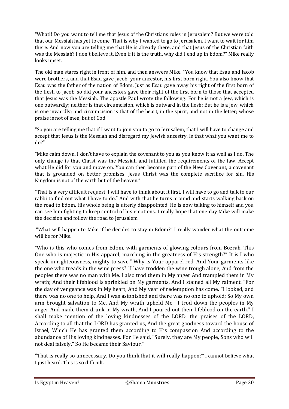"What!! Do you want to tell me that Jesus of the Christians rules in Jerusalem? But we were told that our Messiah has yet to come. That is why I wanted to go to Jerusalem. I want to wait for him there. And now you are telling me that He is already there, and that Jesus of the Christian faith was the Messiah? I don't believe it. Even if it is the truth, why did I end up in Edom?" Mike really looks upset.

The old man stares right in front of him, and then answers Mike. "You know that Esau and Jacob were brothers, and that Esau gave Jacob, your ancestor, his first born right. You also know that Esau was the father of the nation of Edom. Just as Esau gave away his right of the first born of the flesh to Jacob, so did your ancestors gave their right of the first born to those that accepted that Jesus was the Messiah. The apostle Paul wrote the following: For he is not a Jew, which is one outwardly; neither is that circumcision, which is outward in the flesh: But he is a Jew, which is one inwardly; and circumcision is that of the heart, in the spirit, and not in the letter; whose praise is not of men, but of God."

"So you are telling me that if I want to join you to go to Jerusalem, that I will have to change and accept that Jesus is the Messiah and disregard my Jewish ancestry. Is that what you want me to do?"

"Mike calm down. I don't have to explain the covenant to you as you know it as well as I do. The only change is that Christ was the Messiah and fulfilled the requirements of the law. Accept what He did for you and move on. You can then become part of the New Covenant, a covenant that is grounded on better promises. Jesus Christ was the complete sacrifice for sin. His Kingdom is not of the earth but of the heaven."

"That is a very difficult request. I will have to think about it first. I will have to go and talk to our rabbi to find out what I have to do." And with that he turns around and starts walking back on the road to Edom. His whole being is utterly disappointed. He is now talking to himself and you can see him fighting to keep control of his emotions. I really hope that one day Mike will make the decision and follow the road to Jerusalem.

"What will happen to Mike if he decides to stay in Edom?" I really wonder what the outcome will be for Mike.

"Who is this who comes from Edom, with garments of glowing colours from Bozrah, This One who is majestic in His apparel, marching in the greatness of His strength?" It is I who speak in righteousness, mighty to save." Why is Your apparel red, And Your garments like the one who treads in the wine press? "I have trodden the wine trough alone, And from the peoples there was no man with Me. I also trod them in My anger And trampled them in My wrath; And their lifeblood is sprinkled on My garments, And I stained all My raiment. "For the day of vengeance was in My heart, And My year of redemption has come. "I looked, and there was no one to help, And I was astonished and there was no one to uphold; So My own arm brought salvation to Me, And My wrath upheld Me. "I trod down the peoples in My anger And made them drunk in My wrath, And I poured out their lifeblood on the earth." I shall make mention of the loving kindnesses of the LORD, the praises of the LORD, According to all that the LORD has granted us, And the great goodness toward the house of Israel, Which He has granted them according to His compassion And according to the abundance of His loving kindnesses. For He said, "Surely, they are My people, Sons who will not deal falsely." So He became their Saviour."

"That is really so unnecessary. Do you think that it will really happen?" I cannot believe what I just heard. This is so difficult.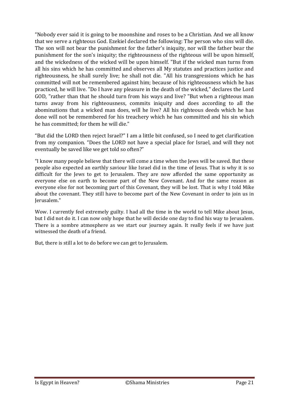"Nobody ever said it is going to be moonshine and roses to be a Christian. And we all know that we serve a righteous God. Ezekiel declared the following: The person who sins will die. The son will not bear the punishment for the father's iniquity, nor will the father bear the punishment for the son's iniquity; the righteousness of the righteous will be upon himself, and the wickedness of the wicked will be upon himself. "But if the wicked man turns from all his sins which he has committed and observes all My statutes and practices justice and righteousness, he shall surely live; he shall not die. "All his transgressions which he has committed will not be remembered against him; because of his righteousness which he has practiced, he will live. "Do I have any pleasure in the death of the wicked," declares the Lord GOD, "rather than that he should turn from his ways and live? "But when a righteous man turns away from his righteousness, commits iniquity and does according to all the abominations that a wicked man does, will he live? All his righteous deeds which he has done will not be remembered for his treachery which he has committed and his sin which he has committed; for them he will die."

"But did the LORD then reject Israel?" I am a little bit confused, so I need to get clarification from my companion. "Does the LORD not have a special place for Israel, and will they not eventually be saved like we get told so often?"

"I know many people believe that there will come a time when the Jews will be saved. But these people also expected an earthly saviour like Israel did in the time of Jesus. That is why it is so difficult for the Jews to get to Jerusalem. They are now afforded the same opportunity as everyone else on earth to become part of the New Covenant. And for the same reason as everyone else for not becoming part of this Covenant, they will be lost. That is why I told Mike about the covenant. They still have to become part of the New Covenant in order to join us in Jerusalem."

Wow. I currently feel extremely guilty. I had all the time in the world to tell Mike about Jesus, but I did not do it. I can now only hope that he will decide one day to find his way to Jerusalem. There is a sombre atmosphere as we start our journey again. It really feels if we have just witnessed the death of a friend.

But, there is still a lot to do before we can get to Jerusalem.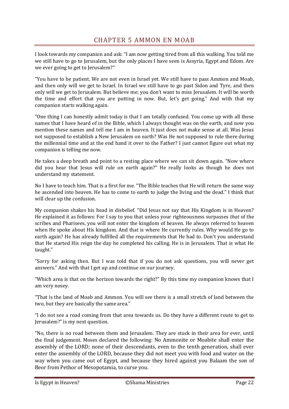<span id="page-21-0"></span>I look towards my companion and ask: "I am now getting tired from all this walking. You told me we still have to go to Jerusalem, but the only places I have seen is Assyria, Egypt and Edom. Are we ever going to get to Jerusalem?"

"You have to be patient. We are not even in Israel yet. We still have to pass Ammon and Moab, and then only will we get to Israel. In Israel we still have to go past Sidon and Tyre, and then only will we get to Jerusalem. But believe me; you don't want to miss Jerusalem. It will be worth the time and effort that you are putting in now. But, let's get going." And with that my companion starts walking again.

"One thing I can honestly admit today is that I am totally confused. You come up with all these names that I have heard of in the Bible, which I always thought was on the earth, and now you mention these names and tell me I am in heaven. It just does not make sense at all. Was Jesus not supposed to establish a New Jerusalem on earth? Was He not supposed to rule there during the millennial time and at the end hand it over to the Father? I just cannot figure out what my companion is telling me now.

He takes a deep breath and point to a resting place where we can sit down again. "Now where did you hear that Jesus will rule on earth again?" He really looks as though he does not understand my statement.

No I have to teach him. That is a first for me. "The Bible teaches that He will return the same way he ascended into heaven. He has to come to earth to judge the living and the dead." I think that will clear up the confusion.

My companion shakes his head in disbelief. "Did Jesus not say that His Kingdom is in Heaven? He explained it as follows: For I say to you that unless your righteousness surpasses *that* of the scribes and Pharisees, you will not enter the kingdom of heaven. He always referred to heaven when He spoke about His kingdom. And that is where He currently rules. Why would He go to earth again? He has already fulfilled all the requirements that He had to. Don't you understand that He started His reign the day he completed his calling. He is in Jerusalem. That is what He taught."

"Sorry for asking then. But I was told that if you do not ask questions, you will never get answers." And with that I get up and continue on our journey.

"Which area is that on the horizon towards the right?" By this time my companion knows that I am very nosey.

"That is the land of Moab and Ammon. You will see there is a small stretch of land between the two, but they are basically the same area."

"I do not see a road coming from that area towards us. Do they have a different route to get to Jerusalem?" is my next question.

"No, there is no road between them and Jerusalem. They are stuck in their area for ever, until the final judgement. Moses declared the following: No Ammonite or Moabite shall enter the assembly of the LORD; none of their descendants, even to the tenth generation, shall ever enter the assembly of the LORD, because they did not meet you with food and water on the way when you came out of Egypt, and because they hired against you Balaam the son of Beor from Pethor of Mesopotamia, to curse you.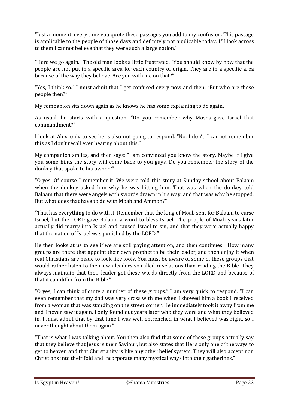"Just a moment, every time you quote these passages you add to my confusion. This passage is applicable to the people of those days and definitely not applicable today. If I look across to them I cannot believe that they were such a large nation."

"Here we go again." The old man looks a little frustrated. "You should know by now that the people are not put in a specific area for each country of origin. They are in a specific area because of the way they believe. Are you with me on that?"

"Yes, I think so." I must admit that I get confused every now and then. "But who are these people then?"

My companion sits down again as he knows he has some explaining to do again.

As usual, he starts with a question. "Do you remember why Moses gave Israel that commandment?"

I look at Alex, only to see he is also not going to respond. "No, I don't. I cannot remember this as I don't recall ever hearing about this."

My companion smiles, and then says: "I am convinced you know the story. Maybe if I give you some hints the story will come back to you guys. Do you remember the story of the donkey that spoke to his owner?"

"O yes. Of course I remember it. We were told this story at Sunday school about Balaam when the donkey asked him why he was hitting him. That was when the donkey told Balaam that there were angels with swords drawn in his way, and that was why he stopped. But what does that have to do with Moab and Ammon?"

"That has everything to do with it. Remember that the king of Moab sent for Balaam to curse Israel, but the LORD gave Balaam a word to bless Israel. The people of Moab years later actually did marry into Israel and caused Israel to sin, and that they were actually happy that the nation of Israel was punished by the LORD."

He then looks at us to see if we are still paying attention, and then continues: "How many groups are there that appoint their own prophet to be their leader, and then enjoy it when real Christians are made to look like fools. You must be aware of some of these groups that would rather listen to their own leaders so called revelations than reading the Bible. They always maintain that their leader got these words directly from the LORD and because of that it can differ from the Bible."

"O yes, I can think of quite a number of these groups." I am very quick to respond. "I can even remember that my dad was very cross with me when I showed him a book I received from a woman that was standing on the street corner. He immediately took it away from me and I never saw it again. I only found out years later who they were and what they believed in. I must admit that by that time I was well entrenched in what I believed was right, so I never thought about them again."

"That is what I was talking about. You then also find that some of these groups actually say that they believe that Jesus is their Saviour, but also states that He is only one of the ways to get to heaven and that Christianity is like any other belief system. They will also accept non Christians into their fold and incorporate many mystical ways into their gatherings."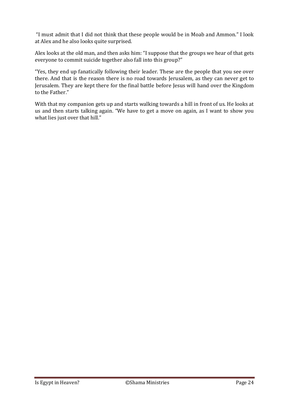"I must admit that I did not think that these people would be in Moab and Ammon." I look at Alex and he also looks quite surprised.

Alex looks at the old man, and then asks him: "I suppose that the groups we hear of that gets everyone to commit suicide together also fall into this group?"

"Yes, they end up fanatically following their leader. These are the people that you see over there. And that is the reason there is no road towards Jerusalem, as they can never get to Jerusalem. They are kept there for the final battle before Jesus will hand over the Kingdom to the Father."

With that my companion gets up and starts walking towards a hill in front of us. He looks at us and then starts talking again. "We have to get a move on again, as I want to show you what lies just over that hill."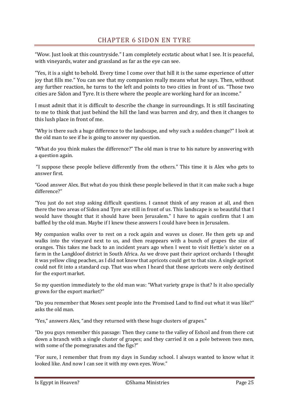<span id="page-24-0"></span>"Wow. Just look at this countryside." I am completely ecstatic about what I see. It is peaceful, with vineyards, water and grassland as far as the eye can see.

"Yes, it is a sight to behold. Every time I come over that hill it is the same experience of utter joy that fills me." You can see that my companion really means what he says. Then, without any further reaction, he turns to the left and points to two cities in front of us. "Those two cities are Sidon and Tyre. It is there where the people are working hard for an income."

I must admit that it is difficult to describe the change in surroundings. It is still fascinating to me to think that just behind the hill the land was barren and dry, and then it changes to this lush place in front of me.

"Why is there such a huge difference to the landscape, and why such a sudden change?" I look at the old man to see if he is going to answer my question.

"What do you think makes the difference?" The old man is true to his nature by answering with a question again.

"I suppose these people believe differently from the others." This time it is Alex who gets to answer first.

"Good answer Alex. But what do you think these people believed in that it can make such a huge difference?"

"You just do not stop asking difficult questions. I cannot think of any reason at all, and then there the two areas of Sidon and Tyre are still in front of us. This landscape is so beautiful that I would have thought that it should have been Jerusalem." I have to again confirm that I am baffled by the old man. Maybe if I knew these answers I could have been in Jerusalem.

My companion walks over to rest on a rock again and waves us closer. He then gets up and walks into the vineyard next to us, and then reappears with a bunch of grapes the size of oranges. This takes me back to an incident years ago when I went to visit Hettie's sister on a farm in the Langkloof district in South Africa. As we drove past their apricot orchards I thought it was yellow cling peaches, as I did not know that apricots could get to that size. A single apricot could not fit into a standard cup. That was when I heard that those apricots were only destined for the export market.

So my question immediately to the old man was: "What variety grape is that? Is it also specially grown for the export market?"

"Do you remember that Moses sent people into the Promised Land to find out what it was like?" asks the old man.

"Yes," answers Alex, "and they returned with these huge clusters of grapes."

"Do you guys remember this passage: Then they came to the valley of Eshcol and from there cut down a branch with a single cluster of grapes; and they carried it on a pole between two men, with some of the pomegranates and the figs?"

"For sure, I remember that from my days in Sunday school. I always wanted to know what it looked like. And now I can see it with my own eyes. Wow."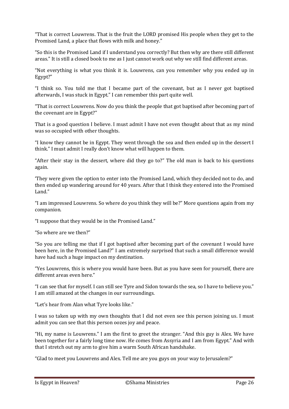"That is correct Louwrens. That is the fruit the LORD promised His people when they get to the Promised Land, a place that flows with milk and honey."

"So this is the Promised Land if I understand you correctly? But then why are there still different areas." It is still a closed book to me as I just cannot work out why we still find different areas.

"Not everything is what you think it is. Louwrens, can you remember why you ended up in Egypt?"

"I think so. You told me that I became part of the covenant, but as I never got baptised afterwards, I was stuck in Egypt." I can remember this part quite well.

"That is correct Louwrens. Now do you think the people that got baptised after becoming part of the covenant are in Egypt?"

That is a good question I believe. I must admit I have not even thought about that as my mind was so occupied with other thoughts.

"I know they cannot be in Egypt. They went through the sea and then ended up in the dessert I think." I must admit I really don't know what will happen to them.

"After their stay in the dessert, where did they go to?" The old man is back to his questions again.

'They were given the option to enter into the Promised Land, which they decided not to do, and then ended up wandering around for 40 years. After that I think they entered into the Promised Land."

"I am impressed Louwrens. So where do you think they will be?" More questions again from my companion.

"I suppose that they would be in the Promised Land."

"So where are we then?"

"So you are telling me that if I got baptised after becoming part of the covenant I would have been here, in the Promised Land?" I am extremely surprised that such a small difference would have had such a huge impact on my destination.

"Yes Louwrens, this is where you would have been. But as you have seen for yourself, there are different areas even here."

"I can see that for myself. I can still see Tyre and Sidon towards the sea, so I have to believe you." I am still amazed at the changes in our surroundings.

"Let's hear from Alan what Tyre looks like."

I was so taken up with my own thoughts that I did not even see this person joining us. I must admit you can see that this person oozes joy and peace.

"Hi, my name is Louwrens." I am the first to greet the stranger. "And this guy is Alex. We have been together for a fairly long time now. He comes from Assyria and I am from Egypt." And with that I stretch out my arm to give him a warm South African handshake.

"Glad to meet you Louwrens and Alex. Tell me are you guys on your way to Jerusalem?"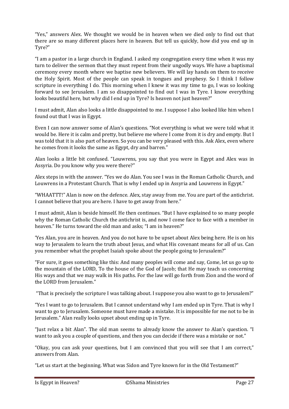"Yes," answers Alex. We thought we would be in heaven when we died only to find out that there are so many different places here in heaven. But tell us quickly, how did you end up in Tyre?"

"I am a pastor in a large church in England. I asked my congregation every time when it was my turn to deliver the sermon that they must repent from their ungodly ways. We have a baptismal ceremony every month where we baptise new believers. We will lay hands on them to receive the Holy Spirit. Most of the people can speak in tongues and prophesy. So I think I follow scripture in everything I do. This morning when I knew it was my time to go, I was so looking forward to see Jerusalem. I am so disappointed to find out I was in Tyre. I know everything looks beautiful here, but why did I end up in Tyre? Is heaven not just heaven?"

I must admit, Alan also looks a little disappointed to me. I suppose I also looked like him when I found out that I was in Egypt.

Even I can now answer some of Alan's questions. "Not everything is what we were told what it would be. Here it is calm and pretty, but believe me where I come from it is dry and empty. But I was told that it is also part of heaven. So you can be very pleased with this. Ask Alex, even where he comes from it looks the same as Egypt, dry and barren."

Alan looks a little bit confused. "Louwrens, you say that you were in Egypt and Alex was in Assyria. Do you know why you were there?"

Alex steps in with the answer. "Yes we do Alan. You see I was in the Roman Catholic Church, and Louwrens in a Protestant Church. That is why I ended up in Assyria and Louwrens in Egypt."

"WHAATTT!" Alan is now on the defence. Alex, stay away from me. You are part of the antichrist. I cannot believe that you are here. I have to get away from here."

I must admit, Alan is beside himself. He then continues. "But I have explained to so many people why the Roman Catholic Church the antichrist is, and now I come face to face with a member in heaven." He turns toward the old man and asks; "I am in heaven?"

'Yes Alan, you are in heaven. And you do not have to be upset about Alex being here. He is on his way to Jerusalem to learn the truth about Jesus, and what His covenant means for all of us. Can you remember what the prophet Isaiah spoke about the people going to Jerusalem?"

"For sure, it goes something like this: And many peoples will come and say, Come, let us go up to the mountain of the LORD, To the house of the God of Jacob; that He may teach us concerning His ways and that we may walk in His paths. For the law will go forth from Zion and the word of the LORD from Jerusalem."

"That is precisely the scripture I was talking about. I suppose you also want to go to Jerusalem?"

"Yes I want to go to Jerusalem. But I cannot understand why I am ended up in Tyre. That is why I want to go to Jerusalem. Someone must have made a mistake. It is impossible for me not to be in Jerusalem." Alan really looks upset about ending up in Tyre.

"Just relax a bit Alan". The old man seems to already know the answer to Alan's question. "I want to ask you a couple of questions, and then you can decide if there was a mistake or not."

"Okay, you can ask your questions, but I am convinced that you will see that I am correct," answers from Alan.

"Let us start at the beginning. What was Sidon and Tyre known for in the Old Testament?"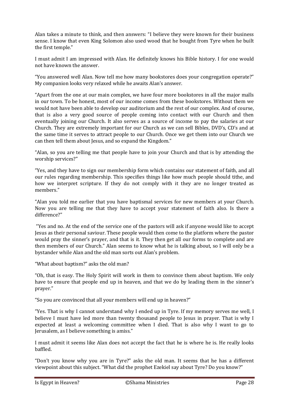Alan takes a minute to think, and then answers: "I believe they were known for their business sense. I know that even King Solomon also used wood that he bought from Tyre when he built the first temple."

I must admit I am impressed with Alan. He definitely knows his Bible history. I for one would not have known the answer.

"You answered well Alan. Now tell me how many bookstores does your congregation operate?" My companion looks very relaxed while he awaits Alan's answer.

"Apart from the one at our main complex, we have four more bookstores in all the major malls in our town. To be honest, most of our income comes from these bookstores. Without them we would not have been able to develop our auditorium and the rest of our complex. And of course, that is also a very good source of people coming into contact with our Church and then eventually joining our Church. It also serves as a source of income to pay the salaries at our Church. They are extremely important for our Church as we can sell Bibles, DVD's, CD's and at the same time it serves to attract people to our Church. Once we get them into our Church we can then tell them about Jesus, and so expand the Kingdom."

"Alan, so you are telling me that people have to join your Church and that is by attending the worship services?"

"Yes, and they have to sign our membership form which contains our statement of faith, and all our rules regarding membership. This specifies things like how much people should tithe, and how we interpret scripture. If they do not comply with it they are no longer treated as members."

"Alan you told me earlier that you have baptismal services for new members at your Church. Now you are telling me that they have to accept your statement of faith also. Is there a difference?"

"Yes and no. At the end of the service one of the pastors will ask if anyone would like to accept Jesus as their personal saviour. These people would then come to the platform where the pastor would pray the sinner's prayer, and that is it. They then get all our forms to complete and are then members of our Church." Alan seems to know what he is talking about, so I will only be a bystander while Alan and the old man sorts out Alan's problem.

"What about baptism?" asks the old man?

"Oh, that is easy. The Holy Spirit will work in them to convince them about baptism. We only have to ensure that people end up in heaven, and that we do by leading them in the sinner's prayer."

"So you are convinced that all your members will end up in heaven?"

"Yes. That is why I cannot understand why I ended up in Tyre. If my memory serves me well, I believe I must have led more than twenty thousand people to Jesus in prayer. That is why I expected at least a welcoming committee when I died. That is also why I want to go to Jerusalem, as I believe something is amiss."

I must admit it seems like Alan does not accept the fact that he is where he is. He really looks baffled.

"Don't you know why you are in Tyre?" asks the old man. It seems that he has a different viewpoint about this subject. "What did the prophet Ezekiel say about Tyre? Do you know?"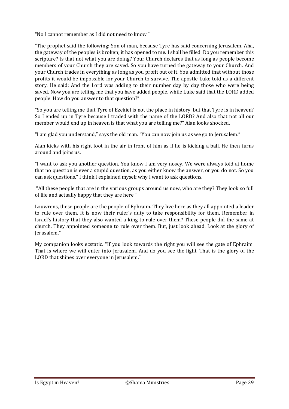"No I cannot remember as I did not need to know."

"The prophet said the following: Son of man, because Tyre has said concerning Jerusalem, Aha, the gateway of the peoples is broken; it has opened to me. I shall be filled. Do you remember this scripture? Is that not what you are doing? Your Church declares that as long as people become members of your Church they are saved. So you have turned the gateway to your Church. And your Church trades in everything as long as you profit out of it. You admitted that without those profits it would be impossible for your Church to survive. The apostle Luke told us a different story. He said: And the Lord was adding to their number day by day those who were being saved. Now you are telling me that you have added people, while Luke said that the LORD added people. How do you answer to that question?"

"So you are telling me that Tyre of Ezekiel is not the place in history, but that Tyre is in heaven? So I ended up in Tyre because I traded with the name of the LORD? And also that not all our member would end up in heaven is that what you are telling me?" Alan looks shocked.

"I am glad you understand," says the old man. "You can now join us as we go to Jerusalem."

Alan kicks with his right foot in the air in front of him as if he is kicking a ball. He then turns around and joins us.

"I want to ask you another question. You know I am very nosey. We were always told at home that no question is ever a stupid question, as you either know the answer, or you do not. So you can ask questions." I think I explained myself why I want to ask questions.

"All these people that are in the various groups around us now, who are they? They look so full of life and actually happy that they are here."

Louwrens, these people are the people of Ephraim. They live here as they all appointed a leader to rule over them. It is now their ruler's duty to take responsibility for them. Remember in Israel's history that they also wanted a king to rule over them? These people did the same at church. They appointed someone to rule over them. But, just look ahead. Look at the glory of Jerusalem."

My companion looks ecstatic. "If you look towards the right you will see the gate of Ephraim. That is where we will enter into Jerusalem. And do you see the light. That is the glory of the LORD that shines over everyone in Jerusalem."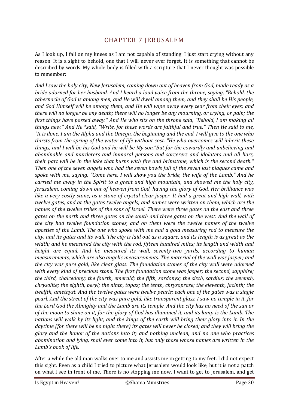## CHAPTER 7 JERUSALEM

<span id="page-29-0"></span>As I look up, I fall on my knees as I am not capable of standing. I just start crying without any reason. It is a sight to behold, one that I will never ever forget. It is something that cannot be described by words. My whole body is filled with a scripture that I never thought was possible to remember:

*And I saw the holy city, New Jerusalem, coming down out of heaven from God, made ready as a bride adorned for her husband. And I heard a loud voice from the throne, saying, "Behold, the tabernacle of God is among men, and He will dwell among them, and they shall be His people, and God Himself will be among them, and He will wipe away every tear from their eyes; and there will no longer be any death; there will no longer be any mourning, or crying, or pain; the first things have passed away." And He who sits on the throne said, "Behold, I am making all things new." And He \*said, "Write, for these words are faithful and true." Then He said to me, "It is done. I am the Alpha and the Omega, the beginning and the end. I will give to the one who thirsts from the spring of the water of life without cost. "He who overcomes will inherit these things, and I will be his God and he will be My son."But for the cowardly and unbelieving and abominable and murderers and immoral persons and sorcerers and idolaters and all liars, their part will be in the lake that burns with fire and brimstone, which is the second death." Then one of the seven angels who had the seven bowls full of the seven last plagues came and spoke with me, saying, "Come here, I will show you the bride, the wife of the Lamb." And he carried me away in the Spirit to a great and high mountain, and showed me the holy city, Jerusalem, coming down out of heaven from God, having the glory of God. Her brilliance was like a very costly stone, as a stone of crystal-clear jasper. It had a great and high wall, with twelve gates, and at the gates twelve angels; and names were written on them, which are the names of the twelve tribes of the sons of Israel. There were three gates on the east and three gates on the north and three gates on the south and three gates on the west. And the wall of the city had twelve foundation stones, and on them were the twelve names of the twelve apostles of the Lamb. The one who spoke with me had a gold measuring rod to measure the city, and its gates and its wall. The city is laid out as a square, and its length is as great as the width; and he measured the city with the rod, fifteen hundred miles; its length and width and height are equal. And he measured its wall, seventy-two yards, according to human measurements, which are also angelic measurements. The material of the wall was jasper; and the city was pure gold, like clear glass. The foundation stones of the city wall were adorned with every kind of precious stone. The first foundation stone was jasper; the second, sapphire; the third, chalcedony; the fourth, emerald; the fifth, sardonyx; the sixth, sardius; the seventh, chrysolite; the eighth, beryl; the ninth, topaz; the tenth, chrysoprase; the eleventh, jacinth; the twelfth, amethyst. And the twelve gates were twelve pearls; each one of the gates was a single pearl. And the street of the city was pure gold, like transparent glass. I saw no temple in it, for the Lord God the Almighty and the Lamb are its temple. And the city has no need of the sun or of the moon to shine on it, for the glory of God has illumined it, and its lamp is the Lamb. The nations will walk by its light, and the kings of the earth will bring their glory into it. In the daytime (for there will be no night there) its gates will never be closed; and they will bring the glory and the honor of the nations into it; and nothing unclean, and no one who practices abomination and lying, shall ever come into it, but only those whose names are written in the Lamb's book of life.* 

After a while the old man walks over to me and assists me in getting to my feet. I did not expect this sight. Even as a child I tried to picture what Jerusalem would look like, but it is not a patch on what I see in front of me. There is no stopping me now. I want to get to Jerusalem, and get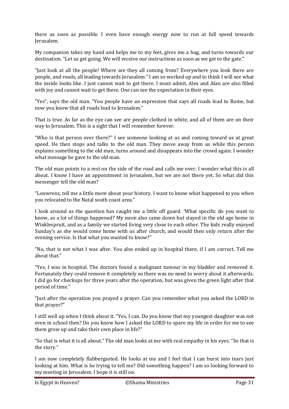there as soon as possible. I even have enough energy now to run at full speed towards Jerusalem.

My companion takes my hand and helps me to my feet, gives me a hug, and turns towards our destination. "Let us get going. We will receive our instructions as soon as we get to the gate."

"Just look at all the people! Where are they all coming from? Everywhere you look there are people, and roads, all leading towards Jerusalem." I am so worked up and to think I will see what the inside looks like. I just cannot wait to get there. I must admit, Alex and Alan are also filled with joy and cannot wait to get there. One can see the expectation in their eyes.

"Yes", says the old man. "You people have an expression that says all roads lead to Rome, but now you know that all roads lead to Jerusalem."

That is true. As far as the eye can see are people clothed in white, and all of them are on their way to Jerusalem. This is a sight that I will remember forever.

"Who is that person over there?" I see someone looking at us and coming toward us at great speed. He then stops and talks to the old man. They move away from us while this person explains something to the old man, turns around and disappears into the crowd again. I wonder what message he gave to the old man.

The old man points to a rest on the side of the road and calls me over. I wonder what this is all about. I know I have an appointment in Jerusalem, but we are not there yet. So what did this messenger tell the old man?

"Louwrens, tell me a little more about your history. I want to know what happened to you when you relocated to the Natal south coast area."

I look around as the question has caught me a little off guard. 'What specific do you want to know, as a lot of things happened? My mom also came down but stayed in the old age home in Winklespruit, and as a family we started living very close to each other. The kids really enjoyed Sunday's as she would come home with us after church, and would then only return after the evening service. Is that what you wanted to know?"

"No, that is not what I was after. You also ended up in hospital there, if I am correct. Tell me about that."

"Yes, I was in hospital. The doctors found a malignant tumour in my bladder and removed it. Fortunately they could remove it completely so there was no need to worry about it afterwards. I did go for checkups for three years after the operation, but was given the green light after that period of time."

"Just after the operation you prayed a prayer. Can you remember what you asked the LORD in that prayer?"

I still well up when I think about it. "Yes, I can. Do you know that my youngest daughter was not even in school then? Do you know how I asked the LORD to spare my life in order for me to see them grow up and take their own place in life?"

"So that is what it is all about." The old man looks at me with real empathy in his eyes. "So that is the story."

I am now completely flabbergasted. He looks at me and I feel that I can burst into tears just looking at him. What is he trying to tell me? Did something happen? I am so looking forward to my meeting in Jerusalem. I hope it is still on.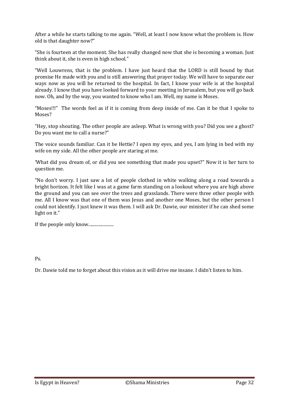After a while he starts talking to me again. "Well, at least I now know what the problem is. How old is that daughter now?"

"She is fourteen at the moment. She has really changed now that she is becoming a woman. Just think about it, she is even in high school."

"Well Louwrens, that is the problem. I have just heard that the LORD is still bound by that promise He made with you and is still answering that prayer today. We will have to separate our ways now as you will be returned to the hospital. In fact, I know your wife is at the hospital already. I know that you have looked forward to your meeting in Jerusalem, but you will go back now. Oh, and by the way, you wanted to know who I am. Well, my name is Moses.

"Moses!!!" The words feel as if it is coming from deep inside of me. Can it be that I spoke to Moses?

"Hey, stop shouting. The other people are asleep. What is wrong with you? Did you see a ghost? Do you want me to call a nurse?"

The voice sounds familiar. Can it be Hettie? I open my eyes, and yes, I am lying in bed with my wife on my side. All the other people are staring at me.

'What did you dream of, or did you see something that made you upset?" Now it is her turn to question me.

"No don't worry. I just saw a lot of people clothed in white walking along a road towards a bright horizon. It felt like I was at a game farm standing on a lookout where you are high above the ground and you can see over the trees and grasslands. There were three other people with me. All I know was that one of them was Jesus and another one Moses, but the other person I could not identify. I just knew it was them. I will ask Dr. Dawie, our minister if he can shed some light on it."

If the people only know.......................

P<sub>s</sub>

Dr. Dawie told me to forget about this vision as it will drive me insane. I didn't listen to him.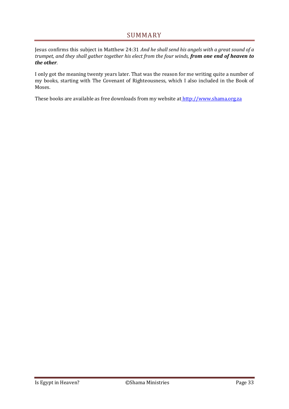### SUMMARY

<span id="page-32-0"></span>Jesus confirms this subject in Matthew 24:31 *And he shall send his angels with a great sound of a trumpet, and they shall gather together his elect from the four winds, from one end of heaven to the other.*

I only got the meaning twenty years later. That was the reason for me writing quite a number of my books, starting with The Covenant of Righteousness, which I also included in the Book of Moses.

These books are available as free downloads from my website at [http://www.shama.org.za](http://www.shama.org.za/)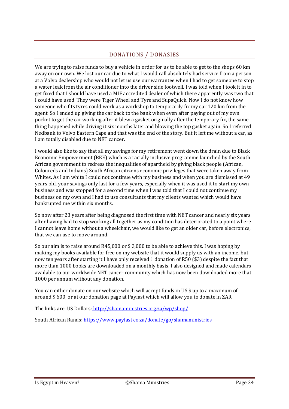#### DONATIONS / DONASIES

<span id="page-33-0"></span>We are trying to raise funds to buy a vehicle in order for us to be able to get to the shops 60 km away on our own. We lost our car due to what I would call absolutely bad service from a person at a Volvo dealership who would not let us use our warrantee when I had to get someone to stop a water leak from the air conditioner into the driver side footwell. I was told when I took it in to get fixed that I should have used a MIF accredited dealer of which there apparently was two that I could have used. They were Tiger Wheel and Tyre and SupaQuick. Now I do not know how someone who fits tyres could work as a workshop to temporarily fix my car 120 km from the agent. So I ended up giving the car back to the bank when even after paying out of my own pocket to get the car working after it blew a gasket originally after the temporary fix, the same thing happened while driving it six months later and blowing the top gasket again. So I referred Nedbank to Volvo Eastern Cape and that was the end of the story. But it left me without a car, as I am totally disabled due to NET cancer.

I would also like to say that all my savings for my retirement went down the drain due to Black Economic Empowerment (BEE) which is a racially inclusive programme launched by the South African government to redress the inequalities of apartheid by giving black people (African, Coloureds and Indians) South African citizens economic privileges that were taken away from Whites. As I am white I could not continue with my business and when you are dismissed at 49 years old, your savings only last for a few years, especially when it was used it to start my own business and was stopped for a second time when I was told that I could not continue my business on my own and I had to use consultants that my clients wanted which would have bankrupted me within six months.

So now after 23 years after being diagnosed the first time with NET cancer and nearly six years after having had to stop working all together as my condition has deteriorated to a point where I cannot leave home without a wheelchair, we would like to get an older car, before electronics, that we can use to move around.

So our aim is to raise around R45,000 or \$ 3,000 to be able to achieve this. I was hoping by making my books available for free on my website that it would supply us with an income, but now ten years after starting it I have only received 1 donation of R50 (\$3) despite the fact that more than 1000 books are downloaded on a monthly basis. I also designed and made calendars available to our worldwide NET cancer community which has now been downloaded more that 1000 per annum without any donation.

You can either donate on our website which will accept funds in US \$ up to a maximum of around \$ 600, or at our donation page at Payfast which will allow you to donate in ZAR.

The links are: US Dollars: <http://shamaministries.org.za/wp/shop/>

South African Rands[: https://www.payfast.co.za/donate/go/shamaministries](https://www.payfast.co.za/donate/go/shamaministries)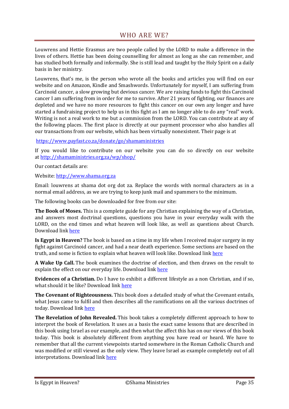<span id="page-34-0"></span>Louwrens and Hettie Erasmus are two people called by the LORD to make a difference in the lives of others. Hettie has been doing counselling for almost as long as she can remember, and has studied both formally and informally. She is still lead and taught by the Holy Spirit on a daily basis in her ministry.

Louwrens, that's me, is the person who wrote all the books and articles you will find on our website and on Amazon, Kindle and Smashwords. Unfortunately for myself, I am suffering from Carcinoid cancer, a slow growing but devious cancer. We are raising funds to fight this Carcinoid cancer I am suffering from in order for me to survive. After 21 years of fighting, our finances are depleted and we have no more resources to fight this cancer on our own any longer and have started a fundraising project to help us in this fight as I am no longer able to do any "real" work. Writing is not a real work to me but a commission from the LORD. You can contribute at any of the following places. The first place is directly at our payment processor who also handles all our transactions from our website, which has been virtually nonexistent. Their page is at

<https://www.payfast.co.za/donate/go/shamaministries>

If you would like to contribute on our website you can do so directly on our website at <http://shamaministries.org.za/wp/shop/>

Our contact details are:

Website: [http://www.shama.org.za](http://www.shama.org.za/)

Email: louwrens at shama dot org dot za. Replace the words with normal characters as in a normal email address, as we are trying to keep junk mail and spammers to the minimum.

The following books can be downloaded for free from our site:

**The Book of Moses.** This is a complete guide for any Christian explaining the way of a Christian, and answers most doctrinal questions, questions you have in your everyday walk with the LORD, on the end times and what heaven will look like, as well as questions about Church. Download link [here](http://www.shamaministries.org.za/boeke/The%20Book%20of%20Moses.pdf)

**Is Egypt in Heaven?** The book is based on a time in my life when I received major surgery in my fight against Carcinoid cancer, and had a near death experience. Some sections are based on the truth, and some is fiction to explain what heaven will look like. Download link [here](http://www.shamaministries.org.za/boeke/Is%20Egypt%20in%20heaven.pdf)

**A Wake Up Call.** The book examines the doctrine of election, and then draws on the result to explain the effect on our everyday life. Download link [here](http://www.shamaministries.org.za/boeke/A%20Wakeup%20Call.pdf)

**Evidences of a Christian.** Do I have to exhibit a different lifestyle as a non Christian, and if so, what should it be like? Download link [here](http://www.shamaministries.org.za/boeke/Evidences%20of%20a%20Christian.pdf)

**The Covenant of Righteousness.** This book does a detailed study of what the Covenant entails, what Jesus came to fulfil and then describes all the ramifications on all the various doctrines of today. Download link [here](http://www.shamaministries.org.za/boeke/The%20Covenant%20of%20Righteousness.pdf)

**The Revelation of John Revealed.** This book takes a completely different approach to how to interpret the book of Revelation. It uses as a basis the exact same lessons that are described in this book using Israel as our example, and then what the affect this has on our views of this book today. This book is absolutely different from anything you have read or heard. We have to remember that all the current viewpoints started somewhere in the Roman Catholic Church and was modified or still viewed as the only view. They leave Israel as example completely out of all interpretations. Download link [here](http://www.shamaministries.org.za/boeke/The%20Revelation%20of%20John%20Revealed.pdf)